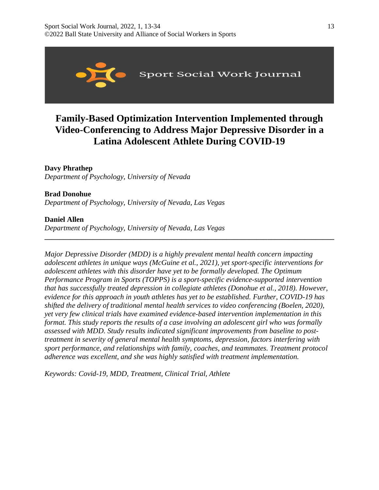

# **Family-Based Optimization Intervention Implemented through Video-Conferencing to Address Major Depressive Disorder in a Latina Adolescent Athlete During COVID-19**

# **Davy Phrathep**

*Department of Psychology, University of Nevada* 

# **Brad Donohue**

*Department of Psychology, University of Nevada, Las Vegas*

# **Daniel Allen**

*Department of Psychology, University of Nevada, Las Vegas* 

*Major Depressive Disorder (MDD) is a highly prevalent mental health concern impacting adolescent athletes in unique ways (McGuine et al., 2021), yet sport-specific interventions for adolescent athletes with this disorder have yet to be formally developed. The Optimum Performance Program in Sports (TOPPS) is a sport-specific evidence-supported intervention that has successfully treated depression in collegiate athletes (Donohue et al., 2018). However, evidence for this approach in youth athletes has yet to be established. Further, COVID-19 has shifted the delivery of traditional mental health services to video conferencing (Boelen, 2020), yet very few clinical trials have examined evidence-based intervention implementation in this format. This study reports the results of a case involving an adolescent girl who was formally assessed with MDD. Study results indicated significant improvements from baseline to posttreatment in severity of general mental health symptoms, depression, factors interfering with sport performance, and relationships with family, coaches, and teammates. Treatment protocol adherence was excellent, and she was highly satisfied with treatment implementation.*

**\_\_\_\_\_\_\_\_\_\_\_\_\_\_\_\_\_\_\_\_\_\_\_\_\_\_\_\_\_\_\_\_\_\_\_\_\_\_\_\_\_\_\_\_\_\_\_\_\_\_\_\_\_\_\_\_\_\_\_\_\_\_\_\_\_\_\_\_\_\_\_\_\_\_\_\_\_\_**

*Keywords: Covid-19, MDD, Treatment, Clinical Trial, Athlete*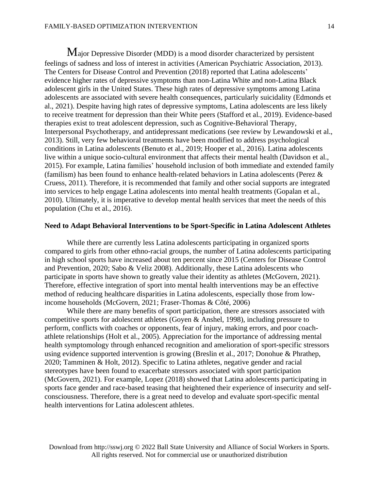Major Depressive Disorder (MDD) is a mood disorder characterized by persistent feelings of sadness and loss of interest in activities (American Psychiatric Association, 2013). The Centers for Disease Control and Prevention (2018) reported that Latina adolescents' evidence higher rates of depressive symptoms than non-Latina White and non-Latina Black adolescent girls in the United States. These high rates of depressive symptoms among Latina adolescents are associated with severe health consequences, particularly suicidality (Edmonds et al., 2021). Despite having high rates of depressive symptoms, Latina adolescents are less likely to receive treatment for depression than their White peers (Stafford et al*.*, 2019). Evidence-based therapies exist to treat adolescent depression, such as Cognitive-Behavioral Therapy, Interpersonal Psychotherapy, and antidepressant medications (see review by [Lewandowski](https://journals.sagepub.com/doi/full/10.1177/1049732319831043?casa_token=gpoExZ_T1gMAAAAA%253APSNT1KdjRmvoL_FvXSuK3ftZVf_SCt2InIywfzIpyyqRdQavkS1YQft5A4VfSLuPR7tuo1zut9xCYg) et al., [2013\)](https://journals.sagepub.com/doi/full/10.1177/1049732319831043?casa_token=gpoExZ_T1gMAAAAA%253APSNT1KdjRmvoL_FvXSuK3ftZVf_SCt2InIywfzIpyyqRdQavkS1YQft5A4VfSLuPR7tuo1zut9xCYg). Still, very few behavioral treatments have been modified to address psychological conditions in Latina adolescents (Benuto et al., 2019; Hooper et al*.*, 2016). Latina adolescents live within a unique socio-cultural environment that affects their mental health (Davidson et al., 2015). For example, Latina families' household inclusion of both immediate and extended family (familism) has been found to enhance health-related behaviors in Latina adolescents (Perez & Cruess, 2011). Therefore, it is recommended that family and other social supports are integrated into services to help engage Latina adolescents into mental health treatments (Gopalan et al., 2010). Ultimately, it is imperative to develop mental health services that meet the needs of this population (Chu et al., 2016).

# **Need to Adapt Behavioral Interventions to be Sport-Specific in Latina Adolescent Athletes**

While there are currently less Latina adolescents participating in organized sports compared to girls from other ethno-racial groups, the number of Latina adolescents participating in high school sports have increased about ten percent since 2015 (Centers for Disease Control and Prevention, 2020; Sabo & Veliz [2008\)](https://www.tandfonline.com/doi/full/10.1080/02732173.2020.1850378?casa_token=a_XutNIuJz0AAAAA%253AyJmRZvWAGrnVkSYAhOxWvX6hgcHenbctRbpEoJdYkm0ZNCyyRLvqgyU1vstQyQwa-NqrQ1-ApAwrTA). Additionally, these Latina adolescents who participate in sports have shown to greatly value their identity as athletes (McGovern, 2021). Therefore, effective integration of sport into mental health interventions may be an effective method of reducing healthcare disparities in Latina adolescents, especially those from lowincome households (McGovern, 2021; Fraser-Thomas & Côté, 2006)

While there are many benefits of sport participation, there are stressors associated with competitive sports for adolescent athletes (Goyen & Anshel, 1998), including pressure to perform, conflicts with coaches or opponents, fear of injury, making errors, and poor coachathlete relationships (Holt et al., 2005). Appreciation for the importance of addressing mental health symptomology through enhanced recognition and amelioration of sport-specific stressors using evidence supported intervention is growing (Breslin et al., 2017; Donohue & Phrathep, 2020; Tamminen & Holt, 2012). Specific to Latina athletes, negative gender and racial stereotypes have been found to exacerbate stressors associated with sport participation (McGovern, 2021). For example, Lopez (2018) showed that Latina adolescents participating in sports face gender and race-based teasing that heightened their experience of insecurity and selfconsciousness. Therefore, there is a great need to develop and evaluate sport-specific mental health interventions for Latina adolescent athletes.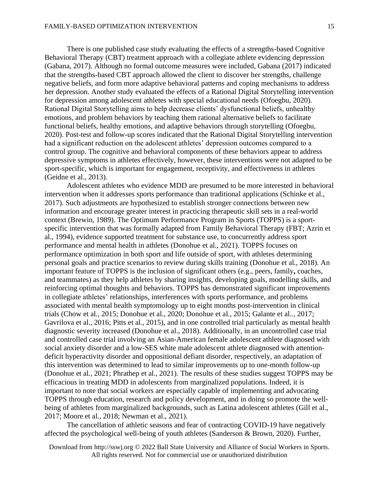There is one published case study evaluating the effects of a strengths-based Cognitive Behavioral Therapy (CBT) treatment approach with a collegiate athlete evidencing depression (Gabana, 2017). Although no formal outcome measures were included, Gabana (2017) indicated that the strengths-based CBT approach allowed the client to discover her strengths, challenge negative beliefs, and form more adaptive behavioral patterns and coping mechanisms to address her depression. Another study evaluated the effects of a Rational Digital Storytelling intervention for depression among adolescent athletes with special educational needs (Ofoegbu, 2020). Rational Digital Storytelling aims to help decrease clients' dysfunctional beliefs, unhealthy emotions, and problem behaviors by teaching them rational alternative beliefs to facilitate functional beliefs, healthy emotions, and adaptive behaviors through storytelling (Ofoegbu, 2020). Post-test and follow-up scores indicated that the Rational Digital Storytelling intervention had a significant reduction on the adolescent athletes' depression outcomes compared to a control group. The cognitive and behavioral components of these behaviors appear to address depressive symptoms in athletes effectively, however, these interventions were not adapted to be sport-specific, which is important for engagement, receptivity, and effectiveness in athletes (Geidne et al., 2013).

Adolescent athletes who evidence MDD are presumed to be more interested in behavioral intervention when it addresses sports performance than traditional applications (Schinke et al., 2017). Such adjustments are hypothesized to establish stronger connections between new information and encourage greater interest in practicing therapeutic skill sets in a real-world context (Brewin, 1989). The Optimum Performance Program in Sports (TOPPS) is a sportspecific intervention that was formally adapted from Family Behavioral Therapy (FBT; Azrin et al., 1994), evidence supported treatment for substance use, to concurrently address sport performance and mental health in athletes (Donohue et al., 2021). TOPPS focuses on performance optimization in both sport and life outside of sport, with athletes determining personal goals and practice scenarios to review during skills training (Donohue et al., 2018). An important feature of TOPPS is the inclusion of significant others (e.g., peers, family**,** coaches, and teammates) as they help athletes by sharing insights, developing goals, modelling skills, and reinforcing optimal thoughts and behaviors. TOPPS has demonstrated significant improvements in collegiate athletes' relationships, interferences with sports performance, and problems associated with mental health symptomology up to eight months post-intervention in clinical trials (Chow et al*.*, 2015; Donohue et al., 2020; Donohue et al*.*, 2015; Galante et al.*.,* 2017; Gavrilova et al., 2016; Pitts et al., 2015), and in one controlled trial particularly as mental health diagnostic severity increased (Donohue et al., 2018). Additionally, in an uncontrolled case trial and controlled case trial involving an Asian-American female adolescent athlete diagnosed with social anxiety disorder and a low-SES white male adolescent athlete diagnosed with attentiondeficit hyperactivity disorder and oppositional defiant disorder, respectively, an adaptation of this intervention was determined to lead to similar improvements up to one-month follow-up (Donohue et al*.*, 2021; Phrathep et al*.*, 2021). The results of these studies suggest TOPPS may be efficacious in treating MDD in adolescents from marginalized populations. Indeed, it is important to note that social workers are especially capable of implementing and advocating TOPPS through education, research and policy development, and in doing so promote the wellbeing of athletes from marginalized backgrounds, such as Latina adolescent athletes (Gill et al., 2017; Moore et al., 2018; Newman et al., 2021).

The cancellation of athletic seasons and fear of contracting COVID-19 have negatively affected the psychological well-being of youth athletes (Sanderson & Brown, 2020). Further,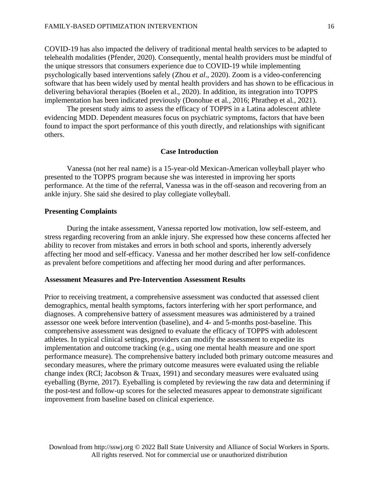COVID-19 has also impacted the delivery of traditional mental health services to be adapted to telehealth modalities (Pfender, 2020). Consequently, mental health providers must be mindful of the unique stressors that consumers experience due to COVID-19 while implementing psychologically based interventions safely (Zhou *et al*., 2020). Zoom is a video-conferencing software that has been widely used by mental health providers and has shown to be efficacious in delivering behavioral therapies (Boelen et al., 2020). In addition, its integration into TOPPS implementation has been indicated previously (Donohue et al*.,* 2016; Phrathep et al*.,* 2021).

The present study aims to assess the efficacy of TOPPS in a Latina adolescent athlete evidencing MDD. Dependent measures focus on psychiatric symptoms, factors that have been found to impact the sport performance of this youth directly, and relationships with significant others.

# **Case Introduction**

Vanessa (not her real name) is a 15-year-old Mexican-American volleyball player who presented to the TOPPS program because she was interested in improving her sports performance. At the time of the referral, Vanessa was in the off-season and recovering from an ankle injury. She said she desired to play collegiate volleyball.

### **Presenting Complaints**

During the intake assessment, Vanessa reported low motivation, low self-esteem, and stress regarding recovering from an ankle injury. She expressed how these concerns affected her ability to recover from mistakes and errors in both school and sports, inherently adversely affecting her mood and self-efficacy. Vanessa and her mother described her low self-confidence as prevalent before competitions and affecting her mood during and after performances.

# **Assessment Measures and Pre-Intervention Assessment Results**

Prior to receiving treatment, a comprehensive assessment was conducted that assessed client demographics, mental health symptoms, factors interfering with her sport performance, and diagnoses. A comprehensive battery of assessment measures was administered by a trained assessor one week before intervention (baseline), and 4- and 5-months post-baseline. This comprehensive assessment was designed to evaluate the efficacy of TOPPS with adolescent athletes. In typical clinical settings, providers can modify the assessment to expedite its implementation and outcome tracking (e.g., using one mental health measure and one sport performance measure). The comprehensive battery included both primary outcome measures and secondary measures, where the primary outcome measures were evaluated using the reliable change index (RCI; Jacobson & Truax, 1991) and secondary measures were evaluated using eyeballing (Byrne, 2017). Eyeballing is completed by reviewing the raw data and determining if the post-test and follow-up scores for the selected measures appear to demonstrate significant improvement from baseline based on clinical experience.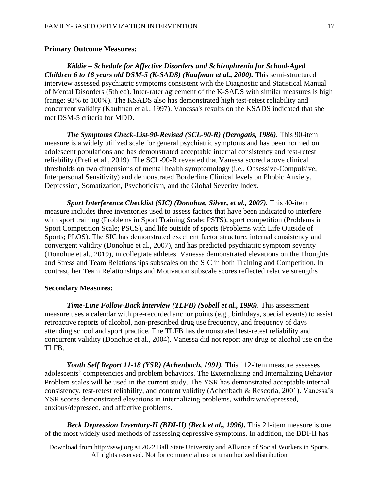# **Primary Outcome Measures:**

*Kiddie – Schedule for Affective Disorders and Schizophrenia for School-Aged Children 6 to 18 years old DSM-5 (K-SADS) (Kaufman et al., 2000).* This semi-structured interview assessed psychiatric symptoms consistent with the Diagnostic and Statistical Manual of Mental Disorders (5th ed). Inter-rater agreement of the K-SADS with similar measures is high (range: 93% to 100%). The KSADS also has demonstrated high test-retest reliability and concurrent validity (Kaufman et al*.,* 1997). Vanessa's results on the KSADS indicated that she met DSM-5 criteria for MDD.

*The Symptoms Check-List-90-Revised (SCL-90-R) (Derogatis, 1986).* This 90-item measure is a widely utilized scale for general psychiatric symptoms and has been normed on adolescent populations and has demonstrated acceptable internal consistency and test-retest reliability (Preti et al*.*, 2019). The SCL-90-R revealed that Vanessa scored above clinical thresholds on two dimensions of mental health symptomology (i.e., Obsessive-Compulsive, Interpersonal Sensitivity) and demonstrated Borderline Clinical levels on Phobic Anxiety, Depression, Somatization, Psychoticism, and the Global Severity Index.

*Sport Interference Checklist (SIC) (Donohue, Silver, et al., 2007).* This 40-item measure includes three inventories used to assess factors that have been indicated to interfere with sport training (Problems in Sport Training Scale; PSTS), sport competition (Problems in Sport Competition Scale; PSCS), and life outside of sports (Problems with Life Outside of Sports; PLOS). The SIC has demonstrated excellent factor structure, internal consistency and convergent validity (Donohue et al*.*, 2007), and has predicted psychiatric symptom severity (Donohue et al., 2019), in collegiate athletes. Vanessa demonstrated elevations on the Thoughts and Stress and Team Relationships subscales on the SIC in both Training and Competition. In contrast, her Team Relationships and Motivation subscale scores reflected relative strengths

#### **Secondary Measures:**

*Time-Line Follow-Back interview (TLFB) (Sobell et al., 1996).* This assessment measure uses a calendar with pre-recorded anchor points (e.g., birthdays, special events) to assist retroactive reports of alcohol, non-prescribed drug use frequency, and frequency of days attending school and sport practice. The TLFB has demonstrated test-retest reliability and concurrent validity (Donohue et al*.*, 2004). Vanessa did not report any drug or alcohol use on the TLFB.

*Youth Self Report 11-18 (YSR) (Achenbach, 1991).* This 112-item measure assesses adolescents' competencies and problem behaviors. The Externalizing and Internalizing Behavior Problem scales will be used in the current study. The YSR has demonstrated acceptable internal consistency, test-retest reliability, and content validity (Achenbach & Rescorla, 2001). Vanessa's YSR scores demonstrated elevations in internalizing problems, withdrawn/depressed, anxious/depressed, and affective problems.

*Beck Depression Inventory-II (BDI-II) (Beck et al., 1996).* This 21-item measure is one of the most widely used methods of assessing depressive symptoms. In addition, the BDI-II has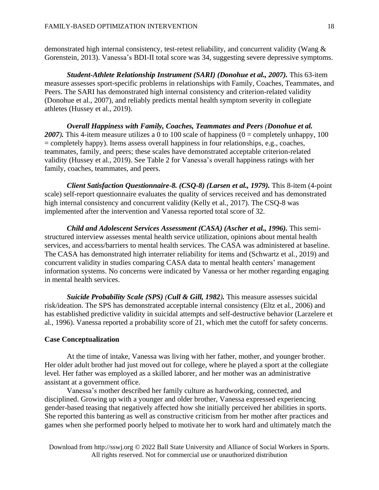demonstrated high internal consistency, test-retest reliability, and concurrent validity (Wang & Gorenstein, 2013). Vanessa's BDI-II total score was 34, suggesting severe depressive symptoms.

*Student-Athlete Relationship Instrument (SARI) (Donohue et al., 2007).* This 63-item measure assesses sport-specific problems in relationships with Family, Coaches, Teammates, and Peers. The SARI has demonstrated high internal consistency and criterion-related validity (Donohue et al., 2007), and reliably predicts mental health symptom severity in collegiate athletes (Hussey et al., 2019).

*Overall Happiness with Family, Coaches, Teammates and Peers (Donohue et al.* 2007). This 4-item measure utilizes a 0 to 100 scale of happiness ( $0 =$  completely unhappy, 100 = completely happy). Items assess overall happiness in four relationships, e.g., coaches, teammates, family, and peers; these scales have demonstrated acceptable criterion-related validity (Hussey et al., 2019). See Table 2 for Vanessa's overall happiness ratings with her family, coaches, teammates, and peers.

*Client Satisfaction Questionnaire-8. (CSQ-8) (Larsen et al., 1979).* This 8-item (4-point scale) self-report questionnaire evaluates the quality of services received and has demonstrated high internal consistency and concurrent validity (Kelly et al*.*, 2017). The CSQ-8 was implemented after the intervention and Vanessa reported total score of 32.

*Child and Adolescent Services Assessment (CASA) (Ascher et al., 1996).* This semistructured interview assesses mental health service utilization, opinions about mental health services, and access/barriers to mental health services. The CASA was administered at baseline. The CASA has demonstrated high interrater reliability for items and (Schwartz et al*.*, 2019) and concurrent validity in studies comparing CASA data to mental health centers' management information systems. No concerns were indicated by Vanessa or her mother regarding engaging in mental health services.

*Suicide Probability Scale (SPS) (Cull & Gill, 1982).* This measure assesses suicidal risk/ideation. The SPS has demonstrated acceptable internal consistency (Eltz et al*.*, 2006) and has established predictive validity in suicidal attempts and self-destructive behavior (Larzelere et al*.*, 1996). Vanessa reported a probability score of 21, which met the cutoff for safety concerns.

#### **Case Conceptualization**

At the time of intake, Vanessa was living with her father, mother, and younger brother. Her older adult brother had just moved out for college, where he played a sport at the collegiate level. Her father was employed as a skilled laborer, and her mother was an administrative assistant at a government office.

Vanessa's mother described her family culture as hardworking, connected, and disciplined. Growing up with a younger and older brother, Vanessa expressed experiencing gender-based teasing that negatively affected how she initially perceived her abilities in sports. She reported this bantering as well as constructive criticism from her mother after practices and games when she performed poorly helped to motivate her to work hard and ultimately match the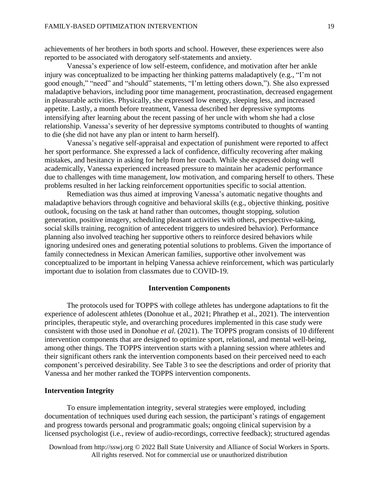achievements of her brothers in both sports and school. However, these experiences were also reported to be associated with derogatory self-statements and anxiety.

Vanessa's experience of low self-esteem, confidence, and motivation after her ankle injury was conceptualized to be impacting her thinking patterns maladaptively (e.g., "I'm not good enough," "need" and "should" statements, "I'm letting others down,"). She also expressed maladaptive behaviors, including poor time management, procrastination, decreased engagement in pleasurable activities. Physically, she expressed low energy, sleeping less, and increased appetite. Lastly, a month before treatment, Vanessa described her depressive symptoms intensifying after learning about the recent passing of her uncle with whom she had a close relationship. Vanessa's severity of her depressive symptoms contributed to thoughts of wanting to die (she did not have any plan or intent to harm herself).

Vanessa's negative self-appraisal and expectation of punishment were reported to affect her sport performance. She expressed a lack of confidence, difficulty recovering after making mistakes, and hesitancy in asking for help from her coach. While she expressed doing well academically, Vanessa experienced increased pressure to maintain her academic performance due to challenges with time management, low motivation, and comparing herself to others. These problems resulted in her lacking reinforcement opportunities specific to social attention.

Remediation was thus aimed at improving Vanessa's automatic negative thoughts and maladaptive behaviors through cognitive and behavioral skills (e.g., objective thinking, positive outlook, focusing on the task at hand rather than outcomes, thought stopping, solution generation, positive imagery, scheduling pleasant activities with others, perspective-taking, social skills training, recognition of antecedent triggers to undesired behavior). Performance planning also involved teaching her supportive others to reinforce desired behaviors while ignoring undesired ones and generating potential solutions to problems. Given the importance of family connectedness in Mexican American families, supportive other involvement was conceptualized to be important in helping Vanessa achieve reinforcement, which was particularly important due to isolation from classmates due to COVID-19.

### **Intervention Components**

The protocols used for TOPPS with college athletes has undergone adaptations to fit the experience of adolescent athletes (Donohue et al., 2021; Phrathep et al., 2021). The intervention principles, therapeutic style, and overarching procedures implemented in this case study were consistent with those used in Donohue *et al*. (2021). The TOPPS program consists of 10 different intervention components that are designed to optimize sport, relational, and mental well-being, among other things. The TOPPS intervention starts with a planning session where athletes and their significant others rank the intervention components based on their perceived need to each component's perceived desirability. See Table 3 to see the descriptions and order of priority that Vanessa and her mother ranked the TOPPS intervention components.

#### **Intervention Integrity**

To ensure implementation integrity, several strategies were employed, including documentation of techniques used during each session, the participant's ratings of engagement and progress towards personal and programmatic goals; ongoing clinical supervision by a licensed psychologist (i.e., review of audio-recordings, corrective feedback); structured agendas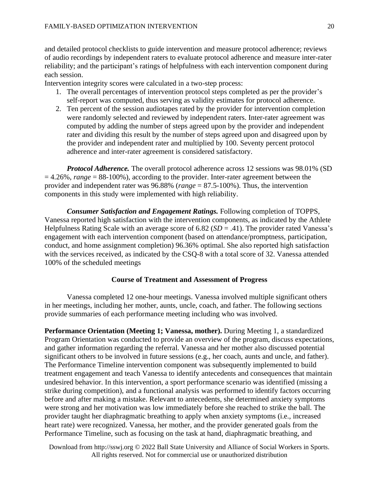and detailed protocol checklists to guide intervention and measure protocol adherence; reviews of audio recordings by independent raters to evaluate protocol adherence and measure inter-rater reliability; and the participant's ratings of helpfulness with each intervention component during each session.

Intervention integrity scores were calculated in a two-step process:

- 1. The overall percentages of intervention protocol steps completed as per the provider's self-report was computed, thus serving as validity estimates for protocol adherence.
- 2. Ten percent of the session audiotapes rated by the provider for intervention completion were randomly selected and reviewed by independent raters. Inter-rater agreement was computed by adding the number of steps agreed upon by the provider and independent rater and dividing this result by the number of steps agreed upon and disagreed upon by the provider and independent rater and multiplied by 100. Seventy percent protocol adherence and inter-rater agreement is considered satisfactory.

*Protocol Adherence.* The overall protocol adherence across 12 sessions was 98.01% (SD  $= 4.26\%$ , *range*  $= 88-100\%$ ), according to the provider. Inter-rater agreement between the provider and independent rater was 96.88% (*range* = 87.5-100%). Thus, the intervention components in this study were implemented with high reliability.

*Consumer Satisfaction and Engagement Ratings.* Following completion of TOPPS, Vanessa reported high satisfaction with the intervention components, as indicated by the Athlete Helpfulness Rating Scale with an average score of 6.82 (*SD* = .41). The provider rated Vanessa's engagement with each intervention component (based on attendance/promptness, participation, conduct, and home assignment completion) 96.36% optimal. She also reported high satisfaction with the services received, as indicated by the CSQ-8 with a total score of 32. Vanessa attended 100% of the scheduled meetings

# **Course of Treatment and Assessment of Progress**

Vanessa completed 12 one-hour meetings. Vanessa involved multiple significant others in her meetings, including her mother, aunts, uncle, coach, and father. The following sections provide summaries of each performance meeting including who was involved.

**Performance Orientation (Meeting 1; Vanessa, mother).** During Meeting 1, a standardized Program Orientation was conducted to provide an overview of the program, discuss expectations, and gather information regarding the referral. Vanessa and her mother also discussed potential significant others to be involved in future sessions (e.g., her coach, aunts and uncle, and father). The Performance Timeline intervention component was subsequently implemented to build treatment engagement and teach Vanessa to identify antecedents and consequences that maintain undesired behavior. In this intervention, a sport performance scenario was identified (missing a strike during competition), and a functional analysis was performed to identify factors occurring before and after making a mistake. Relevant to antecedents, she determined anxiety symptoms were strong and her motivation was low immediately before she reached to strike the ball. The provider taught her diaphragmatic breathing to apply when anxiety symptoms (i.e., increased heart rate) were recognized. Vanessa, her mother, and the provider generated goals from the Performance Timeline, such as focusing on the task at hand, diaphragmatic breathing, and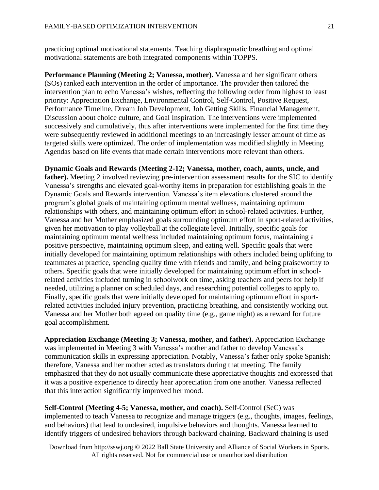practicing optimal motivational statements. Teaching diaphragmatic breathing and optimal motivational statements are both integrated components within TOPPS.

**Performance Planning (Meeting 2; Vanessa, mother).** Vanessa and her significant others (SOs) ranked each intervention in the order of importance. The provider then tailored the intervention plan to echo Vanessa's wishes, reflecting the following order from highest to least priority: Appreciation Exchange, Environmental Control, Self-Control, Positive Request, Performance Timeline, Dream Job Development, Job Getting Skills, Financial Management, Discussion about choice culture, and Goal Inspiration. The interventions were implemented successively and cumulatively, thus after interventions were implemented for the first time they were subsequently reviewed in additional meetings to an increasingly lesser amount of time as targeted skills were optimized. The order of implementation was modified slightly in Meeting Agendas based on life events that made certain interventions more relevant than others.

**Dynamic Goals and Rewards (Meeting 2-12; Vanessa, mother, coach, aunts, uncle, and** father). Meeting 2 involved reviewing pre-intervention assessment results for the SIC to identify Vanessa's strengths and elevated goal-worthy items in preparation for establishing goals in the Dynamic Goals and Rewards intervention. Vanessa's item elevations clustered around the program's global goals of maintaining optimum mental wellness, maintaining optimum relationships with others, and maintaining optimum effort in school-related activities. Further, Vanessa and her Mother emphasized goals surrounding optimum effort in sport-related activities, given her motivation to play volleyball at the collegiate level. Initially, specific goals for maintaining optimum mental wellness included maintaining optimum focus, maintaining a positive perspective, maintaining optimum sleep, and eating well. Specific goals that were initially developed for maintaining optimum relationships with others included being uplifting to teammates at practice, spending quality time with friends and family, and being praiseworthy to others. Specific goals that were initially developed for maintaining optimum effort in schoolrelated activities included turning in schoolwork on time, asking teachers and peers for help if needed, utilizing a planner on scheduled days, and researching potential colleges to apply to. Finally, specific goals that were initially developed for maintaining optimum effort in sportrelated activities included injury prevention, practicing breathing, and consistently working out. Vanessa and her Mother both agreed on quality time (e.g., game night) as a reward for future goal accomplishment.

**Appreciation Exchange (Meeting 3; Vanessa, mother, and father).** Appreciation Exchange was implemented in Meeting 3 with Vanessa's mother and father to develop Vanessa's communication skills in expressing appreciation. Notably, Vanessa's father only spoke Spanish; therefore, Vanessa and her mother acted as translators during that meeting. The family emphasized that they do not usually communicate these appreciative thoughts and expressed that it was a positive experience to directly hear appreciation from one another. Vanessa reflected that this interaction significantly improved her mood.

**Self-Control (Meeting 4-5; Vanessa, mother, and coach).** Self-Control (SeC) was implemented to teach Vanessa to recognize and manage triggers (e.g., thoughts, images, feelings, and behaviors) that lead to undesired, impulsive behaviors and thoughts. Vanessa learned to identify triggers of undesired behaviors through backward chaining. Backward chaining is used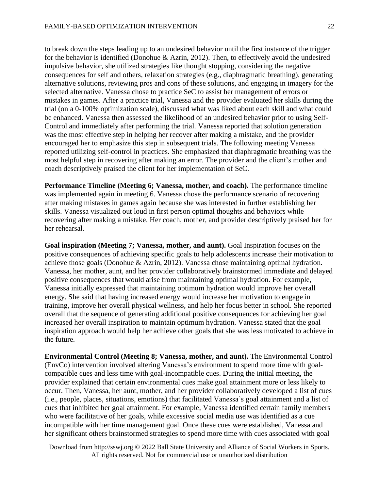to break down the steps leading up to an undesired behavior until the first instance of the trigger for the behavior is identified (Donohue & Azrin, 2012). Then, to effectively avoid the undesired impulsive behavior, she utilized strategies like thought stopping, considering the negative consequences for self and others, relaxation strategies (e.g., diaphragmatic breathing), generating alternative solutions, reviewing pros and cons of these solutions, and engaging in imagery for the selected alternative. Vanessa chose to practice SeC to assist her management of errors or mistakes in games. After a practice trial, Vanessa and the provider evaluated her skills during the trial (on a 0-100% optimization scale), discussed what was liked about each skill and what could be enhanced. Vanessa then assessed the likelihood of an undesired behavior prior to using Self-Control and immediately after performing the trial. Vanessa reported that solution generation was the most effective step in helping her recover after making a mistake, and the provider encouraged her to emphasize this step in subsequent trials. The following meeting Vanessa reported utilizing self-control in practices. She emphasized that diaphragmatic breathing was the most helpful step in recovering after making an error. The provider and the client's mother and coach descriptively praised the client for her implementation of SeC.

**Performance Timeline (Meeting 6; Vanessa, mother, and coach).** The performance timeline was implemented again in meeting 6. Vanessa chose the performance scenario of recovering after making mistakes in games again because she was interested in further establishing her skills. Vanessa visualized out loud in first person optimal thoughts and behaviors while recovering after making a mistake. Her coach, mother, and provider descriptively praised her for her rehearsal.

**Goal inspiration (Meeting 7; Vanessa, mother, and aunt).** Goal Inspiration focuses on the positive consequences of achieving specific goals to help adolescents increase their motivation to achieve those goals (Donohue & Azrin, 2012). Vanessa chose maintaining optimal hydration. Vanessa, her mother, aunt, and her provider collaboratively brainstormed immediate and delayed positive consequences that would arise from maintaining optimal hydration. For example, Vanessa initially expressed that maintaining optimum hydration would improve her overall energy. She said that having increased energy would increase her motivation to engage in training, improve her overall physical wellness, and help her focus better in school. She reported overall that the sequence of generating additional positive consequences for achieving her goal increased her overall inspiration to maintain optimum hydration. Vanessa stated that the goal inspiration approach would help her achieve other goals that she was less motivated to achieve in the future.

**Environmental Control (Meeting 8; Vanessa, mother, and aunt).** The Environmental Control (EnvCo) intervention involved altering Vanessa's environment to spend more time with goalcompatible cues and less time with goal-incompatible cues. During the initial meeting, the provider explained that certain environmental cues make goal attainment more or less likely to occur. Then, Vanessa, her aunt, mother, and her provider collaboratively developed a list of cues (i.e., people, places, situations, emotions) that facilitated Vanessa's goal attainment and a list of cues that inhibited her goal attainment. For example, Vanessa identified certain family members who were facilitative of her goals, while excessive social media use was identified as a cue incompatible with her time management goal. Once these cues were established, Vanessa and her significant others brainstormed strategies to spend more time with cues associated with goal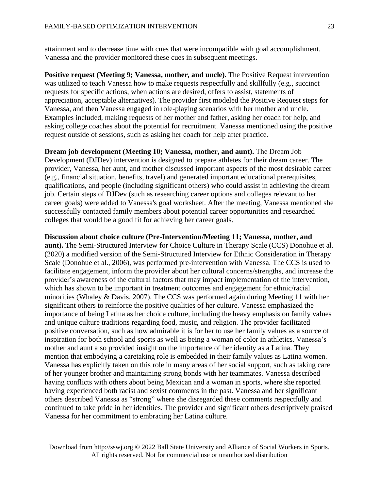attainment and to decrease time with cues that were incompatible with goal accomplishment. Vanessa and the provider monitored these cues in subsequent meetings.

**Positive request (Meeting 9; Vanessa, mother, and uncle).** The Positive Request intervention was utilized to teach Vanessa how to make requests respectfully and skillfully (e.g., succinct requests for specific actions, when actions are desired, offers to assist, statements of appreciation, acceptable alternatives). The provider first modeled the Positive Request steps for Vanessa, and then Vanessa engaged in role-playing scenarios with her mother and uncle. Examples included, making requests of her mother and father, asking her coach for help, and asking college coaches about the potential for recruitment. Vanessa mentioned using the positive request outside of sessions, such as asking her coach for help after practice.

**Dream job development (Meeting 10; Vanessa, mother, and aunt).** The Dream Job Development (DJDev) intervention is designed to prepare athletes for their dream career. The provider, Vanessa, her aunt, and mother discussed important aspects of the most desirable career (e.g., financial situation, benefits, travel) and generated important educational prerequisites, qualifications, and people (including significant others) who could assist in achieving the dream job. Certain steps of DJDev (such as researching career options and colleges relevant to her career goals) were added to Vanessa's goal worksheet. After the meeting, Vanessa mentioned she successfully contacted family members about potential career opportunities and researched colleges that would be a good fit for achieving her career goals.

#### **Discussion about choice culture (Pre-Intervention/Meeting 11; Vanessa, mother, and**

**aunt).** The Semi-Structured Interview for Choice Culture in Therapy Scale (CCS) Donohue et al. (2020**)** a modified version of the Semi-Structured Interview for Ethnic Consideration in Therapy Scale (Donohue et al., 2006), was performed pre-intervention with Vanessa. The CCS is used to facilitate engagement, inform the provider about her cultural concerns/strengths, and increase the provider's awareness of the cultural factors that may impact implementation of the intervention, which has shown to be important in treatment outcomes and engagement for ethnic/racial minorities (Whaley & Davis, 2007). The CCS was performed again during Meeting 11 with her significant others to reinforce the positive qualities of her culture. Vanessa emphasized the importance of being Latina as her choice culture, including the heavy emphasis on family values and unique culture traditions regarding food, music, and religion. The provider facilitated positive conversation, such as how admirable it is for her to use her family values as a source of inspiration for both school and sports as well as being a woman of color in athletics. Vanessa's mother and aunt also provided insight on the importance of her identity as a Latina. They mention that embodying a caretaking role is embedded in their family values as Latina women. Vanessa has explicitly taken on this role in many areas of her social support, such as taking care of her younger brother and maintaining strong bonds with her teammates. Vanessa described having conflicts with others about being Mexican and a woman in sports, where she reported having experienced both racist and sexist comments in the past. Vanessa and her significant others described Vanessa as "strong" where she disregarded these comments respectfully and continued to take pride in her identities. The provider and significant others descriptively praised Vanessa for her commitment to embracing her Latina culture.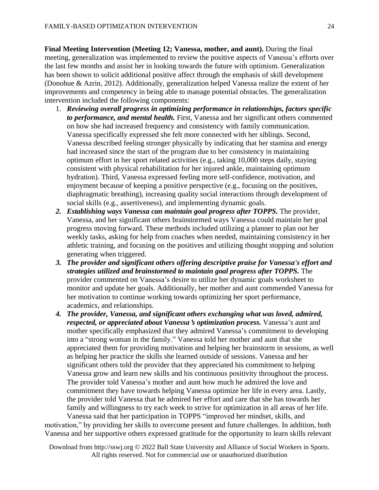**Final Meeting Intervention (Meeting 12; Vanessa, mother, and aunt).** During the final meeting, generalization was implemented to review the positive aspects of Vanessa's efforts over the last few months and assist her in looking towards the future with optimism. Generalization has been shown to solicit additional positive affect through the emphasis of skill development (Donohue & Azrin, 2012). Additionally, generalization helped Vanessa realize the extent of her improvements and competency in being able to manage potential obstacles. The generalization intervention included the following components:

- 1. *Reviewing overall progress in optimizing performance in relationships, factors specific to performance, and mental health.* First, Vanessa and her significant others commented on how she had increased frequency and consistency with family communication. Vanessa specifically expressed she felt more connected with her siblings. Second, Vanessa described feeling stronger physically by indicating that her stamina and energy had increased since the start of the program due to her consistency in maintaining optimum effort in her sport related activities (e.g., taking 10,000 steps daily, staying consistent with physical rehabilitation for her injured ankle, maintaining optimum hydration). Third, Vanessa expressed feeling more self-confidence, motivation, and enjoyment because of keeping a positive perspective (e.g., focusing on the positives, diaphragmatic breathing), increasing quality social interactions through development of social skills (e.g., assertiveness), and implementing dynamic goals.
- *2. Establishing ways Vanessa can maintain goal progress after TOPPS.* The provider, Vanessa, and her significant others brainstormed ways Vanessa could maintain her goal progress moving forward. These methods included utilizing a planner to plan out her weekly tasks, asking for help from coaches when needed, maintaining consistency in her athletic training, and focusing on the positives and utilizing thought stopping and solution generating when triggered.
- *3. The provider and significant others offering descriptive praise for Vanessa's effort and strategies utilized and brainstormed to maintain goal progress after TOPPS.* The provider commented on Vanessa's desire to utilize her dynamic goals worksheet to monitor and update her goals. Additionally, her mother and aunt commended Vanessa for her motivation to continue working towards optimizing her sport performance, academics, and relationships.
- *4. The provider, Vanessa, and significant others exchanging what was loved, admired, respected, or appreciated about Vanessa***'***s optimization process.* Vanessa's aunt and mother specifically emphasized that they admired Vanessa's commitment to developing into a "strong woman in the family." Vanessa told her mother and aunt that she appreciated them for providing motivation and helping her brainstorm in sessions, as well as helping her practice the skills she learned outside of sessions. Vanessa and her significant others told the provider that they appreciated his commitment to helping Vanessa grow and learn new skills and his continuous positivity throughout the process. The provider told Vanessa's mother and aunt how much he admired the love and commitment they have towards helping Vanessa optimize her life in every area. Lastly, the provider told Vanessa that he admired her effort and care that she has towards her family and willingness to try each week to strive for optimization in all areas of her life. Vanessa said that her participation in TOPPS "improved her mindset, skills, and

motivation," by providing her skills to overcome present and future challenges. In addition, both Vanessa and her supportive others expressed gratitude for the opportunity to learn skills relevant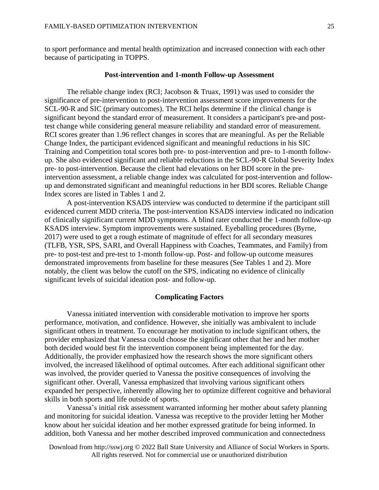to sport performance and mental health optimization and increased connection with each other because of participating in TOPPS.

## **Post-intervention and 1-month Follow-up Assessment**

The reliable change index (RCI; Jacobson & Truax, 1991) was used to consider the significance of pre-intervention to post-intervention assessment score improvements for the SCL-90-R and SIC (primary outcomes). The RCI helps determine if the clinical change is significant beyond the standard error of measurement. It considers a participant's pre-and posttest change while considering general measure reliability and standard error of measurement. RCI scores greater than 1.96 reflect changes in scores that are meaningful. As per the Reliable Change Index, the participant evidenced significant and meaningful reductions in his SIC Training and Competition total scores both pre- to post-intervention and pre- to 1-month followup. She also evidenced significant and reliable reductions in the SCL-90-R Global Severity Index pre- to post-intervention. Because the client had elevations on her BDI score in the preintervention assessment, a reliable change index was calculated for post-intervention and followup and demonstrated significant and meaningful reductions in her BDI scores. Reliable Change Index scores are listed in Tables 1 and 2.

A post-intervention KSADS interview was conducted to determine if the participant still evidenced current MDD criteria. The post-intervention KSADS interview indicated no indication of clinically significant current MDD symptoms. A blind rater conducted the 1-month follow-up KSADS interview. Symptom improvements were sustained. Eyeballing procedures (Byrne, 2017) were used to get a rough estimate of magnitude of effect for all secondary measures (TLFB, YSR, SPS, SARI, and Overall Happiness with Coaches, Teammates, and Family) from pre- to post-test and pre-test to 1-month follow-up. Post- and follow-up outcome measures demonstrated improvements from baseline for these measures (See Tables 1 and 2). More notably, the client was below the cutoff on the SPS, indicating no evidence of clinically significant levels of suicidal ideation post- and follow-up.

# **Complicating Factors**

Vanessa initiated intervention with considerable motivation to improve her sports performance, motivation, and confidence. However, she initially was ambivalent to include significant others in treatment. To encourage her motivation to include significant others, the provider emphasized that Vanessa could choose the significant other that her and her mother both decided would best fit the intervention component being implemented for the day. Additionally, the provider emphasized how the research shows the more significant others involved, the increased likelihood of optimal outcomes. After each additional significant other was involved, the provider queried to Vanessa the positive consequences of involving the significant other. Overall, Vanessa emphasized that involving various significant others expanded her perspective, inherently allowing her to optimize different cognitive and behavioral skills in both sports and life outside of sports.

Vanessa's initial risk assessment warranted informing her mother about safety planning and monitoring for suicidal ideation. Vanessa was receptive to the provider letting her Mother know about her suicidal ideation and her mother expressed gratitude for being informed. In addition, both Vanessa and her mother described improved communication and connectedness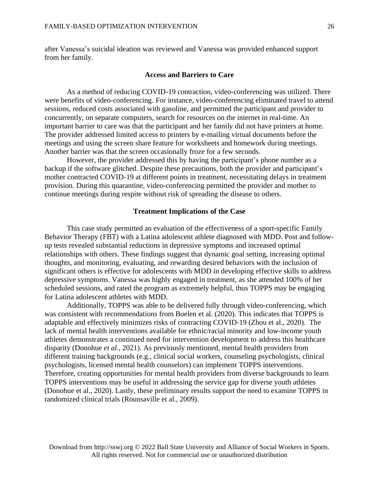after Vanessa's suicidal ideation was reviewed and Vanessa was provided enhanced support from her family.

# **Access and Barriers to Care**

As a method of reducing COVID-19 contraction, video-conferencing was utilized. There were benefits of video-conferencing. For instance, video-conferencing eliminated travel to attend sessions, reduced costs associated with gasoline, and permitted the participant and provider to concurrently, on separate computers, search for resources on the internet in real-time. An important barrier to care was that the participant and her family did not have printers at home. The provider addressed limited access to printers by e-mailing virtual documents before the meetings and using the screen share feature for worksheets and homework during meetings. Another barrier was that the screen occasionally froze for a few seconds.

However, the provider addressed this by having the participant's phone number as a backup if the software glitched. Despite these precautions, both the provider and participant's mother contracted COVID-19 at different points in treatment, necessitating delays in treatment provision. During this quarantine, video-conferencing permitted the provider and mother to continue meetings during respite without risk of spreading the disease to others.

### **Treatment Implications of the Case**

This case study permitted an evaluation of the effectiveness of a sport-specific Family Behavior Therapy (FBT) with a Latina adolescent athlete diagnosed with MDD. Post and followup tests revealed substantial reductions in depressive symptoms and increased optimal relationships with others. These findings suggest that dynamic goal setting, increasing optimal thoughts, and monitoring, evaluating, and rewarding desired behaviors with the inclusion of significant others is effective for adolescents with MDD in developing effective skills to address depressive symptoms. Vanessa was highly engaged in treatment, as she attended 100% of her scheduled sessions, and rated the program as extremely helpful, thus TOPPS may be engaging for Latina adolescent athletes with MDD.

Additionally, TOPPS was able to be delivered fully through video-conferencing, which was consistent with recommendations from Boelen et al. (2020). This indicates that TOPPS is adaptable and effectively minimizes risks of contracting COVID-19 (Zhou et al., 2020). The lack of mental health interventions available for ethnic/racial minority and low-income youth athletes demonstrates a continued need for intervention development to address this healthcare disparity (Donohue *et al.*, 2021). As previously mentioned, mental health providers from different training backgrounds (e.g., clinical social workers, counseling psychologists, clinical psychologists, licensed mental health counselors) can implement TOPPS interventions. Therefore, creating opportunities for mental health providers from diverse backgrounds to learn TOPPS interventions may be useful in addressing the service gap for diverse youth athletes (Donohue et al., 2020). Lastly, these preliminary results support the need to examine TOPPS in randomized clinical trials (Rounsaville et al., 2009).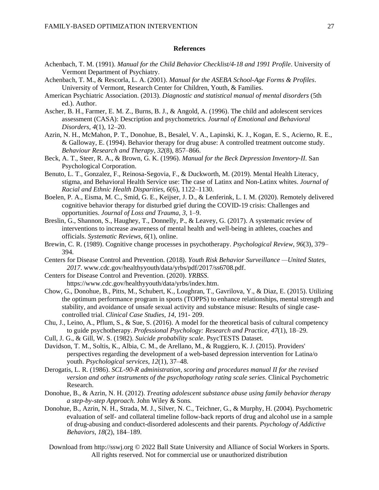#### **References**

- Achenbach, T. M. (1991). *Manual for the Child Behavior Checklist/4-18 and 1991 Profile*. University of Vermont Department of Psychiatry.
- Achenbach, T. M., & Rescorla, L. A. (2001). *Manual for the ASEBA School-Age Forms & Profiles*. University of Vermont, Research Center for Children, Youth, & Families.
- American Psychiatric Association. (2013). *Diagnostic and statistical manual of mental disorders* (5th ed.). Author.
- Ascher, B. H., Farmer, E. M. Z., Burns, B. J., & Angold, A. (1996). The child and adolescent services assessment (CASA): Description and psychometrics*. Journal of Emotional and Behavioral Disorders, 4*(1), 12–20.
- Azrin, N. H., McMahon, P. T., Donohue, B., Besalel, V. A., Lapinski, K. J., Kogan, E. S., Acierno, R. E., & Galloway, E. (1994). Behavior therapy for drug abuse: A controlled treatment outcome study. *Behaviour Research and Therapy*, *32*(8), 857–866.
- Beck, A. T., Steer, R. A., & Brown, G. K. (1996). *Manual for the Beck Depression Inventory-II.* San Psychological Corporation.
- Benuto, L. T., Gonzalez, F., Reinosa-Segovia, F., & Duckworth, M. (2019). Mental Health Literacy, stigma, and Behavioral Health Service use: The case of Latinx and Non-Latinx whites. *Journal of Racial and Ethnic Health Disparities*, *6*(6), 1122–1130.
- Boelen, P. A., Eisma, M. C., Smid, G. E., Keijser, J. D., & Lenferink, L. I. M. (2020). Remotely delivered cognitive behavior therapy for disturbed grief during the COVID-19 crisis: Challenges and opportunities. *Journal of Loss and Trauma, 3*, 1–9.
- Breslin, G., Shannon, S., Haughey, T., Donnelly, P., & Leavey, G. (2017). A systematic review of interventions to increase awareness of mental health and well-being in athletes, coaches and officials. *Systematic Reviews, 6*(1), online.
- Brewin, C. R. (1989). Cognitive change processes in psychotherapy. *Psychological Review*, *96*(3), 379– 394.
- Centers for Disease Control and Prevention. (2018). *Youth Risk Behavior Surveillance —United States, 2017*. [www.cdc.gov/healthyyouth/data/yrbs/pdf/2017/ss6708.pdf.](http://www.cdc.gov/healthyyouth/data/yrbs/pdf/2017/ss6708.pdf)
- Centers for Disease Control and Prevention. (2020). *YRBSS*. https://www.cdc.gov/healthyyouth/data/yrbs/index.htm.
- Chow, G., Donohue, B., Pitts, M., Schubert, K., Loughran, T., Gavrilova, Y., & Diaz, E. (2015). Utilizing the optimum performance program in sports (TOPPS) to enhance relationships, mental strength and stability, and avoidance of unsafe sexual activity and substance misuse: Results of single casecontrolled trial. *Clinical Case Studies*, *14*, 191- 209.
- Chu, J., Leino, A., Pflum, S., & Sue, S. (2016). A model for the theoretical basis of cultural competency to guide psychotherapy. *Professional Psychology: Research and Practice, 47*(1), 18–29.
- Cull, J. G., & Gill, W. S. (1982). *Suicide probability scale*. PsycTESTS Dataset.
- Davidson, T. M., Soltis, K., Albia, C. M., de Arellano, M., & Ruggiero, K. J. (2015). Providers' perspectives regarding the development of a web-based depression intervention for Latina/o youth. *Psychological services*, *12*(1), 37–48.
- Derogatis, L. R. (1986). *SCL-90-R administration, scoring and procedures manual II for the revised version and other instruments of the psychopathology rating scale series*. Clinical Psychometric Research.
- Donohue, B., & Azrin, N. H. (2012). *Treating adolescent substance abuse using family behavior therapy a step-by-step Approach.* John Wiley & Sons*.*
- Donohue, B., Azrin, N. H., Strada, M. J., Silver, N. C., Teichner, G., & Murphy, H. (2004). Psychometric evaluation of self- and collateral timeline follow-back reports of drug and alcohol use in a sample of drug-abusing and conduct-disordered adolescents and their parents*. Psychology of Addictive Behaviors, 18*(2), 184–189.
	- Download from http://sswj.org © 2022 Ball State University and Alliance of Social Workers in Sports. All rights reserved. Not for commercial use or unauthorized distribution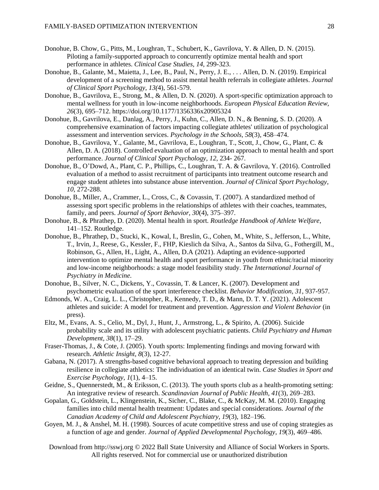- Donohue, B. Chow, G., Pitts, M., Loughran, T., Schubert, K., Gavrilova, Y. & Allen, D. N. (2015). Piloting a family-supported approach to concurrently optimize mental health and sport performance in athletes. *Clinical Case Studies, 14,* 299-323.
- Donohue, B., Galante, M., Maietta, J., Lee, B., Paul, N., Perry, J. E., . . . Allen, D. N. (2019). Empirical development of a screening method to assist mental health referrals in collegiate athletes. *Journal of Clinical Sport Psychology, 13(*4), 561-579.
- Donohue, B., Gavrilova, E., Strong, M., & Allen, D. N. (2020). A sport-specific optimization approach to mental wellness for youth in low-income neighborhoods. *European Physical Education Review, 26*(3), 695–712. https://doi.org/10.1177/1356336x20905324
- Donohue, B., Gavrilova, E., Danlag, A., Perry, J., Kuhn, C., Allen, D. N., & Benning, S. D. (2020). A comprehensive examination of factors impacting collegiate athletes' utilization of psychological assessment and intervention services. *Psychology in the Schools, 58*(3), 458–474.
- Donohue, B., Gavrilova, Y., Galante, M., Gavrilova, E., Loughran, T., Scott, J., Chow, G., Plant, C. & Allen, D. A. (2018). Controlled evaluation of an optimization approach to mental health and sport performance. *Journal of Clinical Sport Psychology, 12*, 234- 267.
- Donohue, B., O'Dowd, A., Plant, C. P., Phillips, C., Loughran, T. A. & Gavrilova, Y. (2016). Controlled evaluation of a method to assist recruitment of participants into treatment outcome research and engage student athletes into substance abuse intervention. *Journal of Clinical Sport Psychology, 10,* 272-288.
- Donohue, B., Miller, A., Crammer, L., Cross, C., & Covassin, T. (2007). A standardized method of assessing sport specific problems in the relationships of athletes with their coaches, teammates, family, and peers. *Journal of Sport Behavior, 30*(4), 375–397.
- Donohue, B., & Phrathep, D. (2020). Mental health in sport. *Routledge Handbook of Athlete Welfare*, 141–152. Routledge.
- Donohue, B., Phrathep, D., Stucki, K., Kowal, I., Breslin, G., Cohen, M., White, S., Jefferson, L., White, T., Irvin, J., Reese, G., Kessler, F., FHP, Kieslich da Silva, A., Santos da Silva, G., Fothergill, M., Robinson, G., Allen, H., Light, A., Allen, D.A (2021). Adapting an evidence-supported intervention to optimize mental health and sport performance in youth from ethnic/racial minority and low-income neighborhoods: a stage model feasibility study. *The International Journal of Psychiatry in Medicine.*
- Donohue, B., Silver, N. C., Dickens, Y., Covassin, T. & Lancer, K. (2007). Development and psychometric evaluation of the sport interference checklist. *Behavior Modification, 31*, 937-957.
- Edmonds, W. A., Craig, L. L., Christopher, R., Kennedy, T. D., & Mann, D. T. Y. (2021). Adolescent athletes and suicide: A model for treatment and prevention. *Aggression and Violent Behavior* (in press).
- Eltz, M., Evans, A. S., Celio, M., Dyl, J., Hunt, J., Armstrong, L., & Spirito, A. (2006). Suicide probability scale and its utility with adolescent psychiatric patients. *Child Psychiatry and Human Development, 38*(1), 17–29.
- Fraser-Thomas, J., & Cote, J. (2005). Youth sports: Implementing findings and moving forward with research. *Athletic Insight*, *8*(3), 12-27.
- Gabana, N. (2017). A strengths-based cognitive behavioral approach to treating depression and building resilience in collegiate athletics: The individuation of an identical twin. *Case Studies in Sport and Exercise Psychology*, *1*(1), 4–15.
- Geidne, S., Quennerstedt, M., & Eriksson, C. (2013). The youth sports club as a health-promoting setting: An integrative review of research. *Scandinavian Journal of Public Health, 41*(3), 269–283.
- Gopalan, G., Goldstein, L., Klingenstein, K., Sicher, C., Blake, C., & McKay, M. M. (2010). Engaging families into child mental health treatment: Updates and special considerations. *Journal of the Canadian Academy of Child and Adolescent Psychiatry, 19*(3), 182–196.
- Goyen, M. J., & Anshel, M. H. (1998). Sources of acute competitive stress and use of coping strategies as a function of age and gender. *Journal of Applied Developmental Psychology*, *19*(3), 469–486.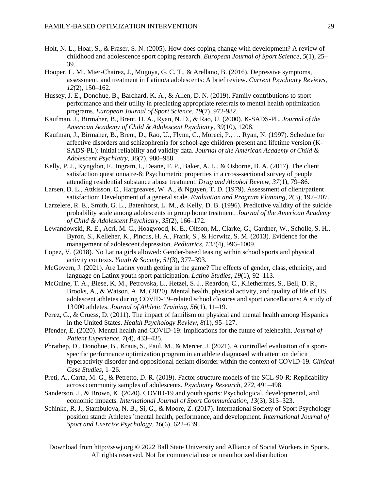- Holt, N. L., Hoar, S., & Fraser, S. N. (2005). How does coping change with development? A review of childhood and adolescence sport coping research. *European Journal of Sport Science*, *5*(1), 25– 39.
- Hooper, L. M., Mier-Chairez, J., Mugoya, G. C. T., & Arellano, B. (2016). Depressive symptoms, assessment, and treatment in Latino/a adolescents: A brief review. *Current Psychiatry Reviews, 12*(2), 150–162.
- Hussey, J. E., Donohue, B., Barchard, K. A., & Allen, D. N. (2019). Family contributions to sport performance and their utility in predicting appropriate referrals to mental health optimization programs. *European Journal of Sport Science, 19*(7), 972-982.
- Kaufman, J., Birmaher, B., Brent, D. A., Ryan, N. D., & Rao, U. (2000). K-SADS-PL. *Journal of the American Academy of Child & Adolescent Psychiatry, 39*(10), 1208.
- Kaufman, J., Birmaher, B., Brent, D., Rao, U., Flynn, C., Moreci, P., … Ryan, N. (1997). Schedule for affective disorders and schizophrenia for school-age children-present and lifetime version (K-SADS-PL): Initial reliability and validity data. *Journal of the American Academy of Child & Adolescent Psychiatry, 36*(7), 980–988.
- Kelly, P. J., Kyngdon, F., Ingram, I., Deane, F. P., Baker, A. L., & Osborne, B. A. (2017). The client satisfaction questionnaire-8: Psychometric properties in a cross-sectional survey of people attending residential substance abuse treatment. *Drug and Alcohol Review, 37*(1), 79–86.
- Larsen, D. L., Attkisson, C., Hargreaves, W. A., & Nguyen, T. D. (1979). Assessment of client/patient satisfaction: Development of a general scale. *Evaluation and Program Planning, 2*(3), 197–207.
- Larzelere, R. E., Smith, G. L., Batenhorst, L. M., & Kelly, D. B. (1996). Predictive validity of the suicide probability scale among adolescents in group home treatment. *Journal of the American Academy of Child & Adolescent Psychiatry, 35*(2), 166–172.
- Lewandowski, R. E., Acri, M. C., Hoagwood, K. E., Olfson, M., Clarke, G., Gardner, W., Scholle, S. H., Byron, S., Kelleher, K., Pincus, H. A., Frank, S., & Horwitz, S. M. (2013). Evidence for the management of adolescent depression. *Pediatrics*, *132*(4), 996–1009.
- Lopez, V. (2018). No Latina girls allowed: Gender-based teasing within school sports and physical activity contexts. *Youth & Society, 51*(3), 377–393.
- McGovern, J. (2021). Are Latinx youth getting in the game? The effects of gender, class, ethnicity, and language on Latinx youth sport participation. *Latino Studies*, *19*(1), 92–113.
- McGuine, T. A., Biese, K. M., Petrovska, L., Hetzel, S. J., Reardon, C., Kliethermes, S., Bell, D. R., Brooks, A., & Watson, A. M. (2020). Mental health, physical activity, and quality of life of US adolescent athletes during COVID-19–related school closures and sport cancellations: A study of 13 000 athletes. *Journal of Athletic Training*, *56*(1), 11–19.
- Perez, G., & Cruess, D. (2011). The impact of familism on physical and mental health among Hispanics in the United States. *Health Psychology Review, 8*(1), 95–127.
- Pfender, E. (2020). Mental health and COVID-19: Implications for the future of telehealth. *Journal of Patient Experience, 7*(4), 433–435.
- Phrathep, D., Donohue, B., Kraus, S., Paul, M., & Mercer, J. (2021). A controlled evaluation of a sportspecific performance optimization program in an athlete diagnosed with attention deficit hyperactivity disorder and oppositional defiant disorder within the context of COVID-19. *Clinical Case Studies*, 1–26.
- Preti, A., Carta, M. G., & Petretto, D. R. (2019). Factor structure models of the SCL-90-R: Replicability across community samples of adolescents. *Psychiatry Research, 272*, 491–498.
- Sanderson, J., & Brown, K. (2020). COVID-19 and youth sports: Psychological, developmental, and economic impacts*. International Journal of Sport Communication, 13*(3), 313–323.
- Schinke, R. J., Stambulova, N. B., Si, G., & Moore, Z. (2017). International Society of Sport Psychology position stand: Athletes 'mental health, performance, and development. *International Journal of Sport and Exercise Psychology, 16*(6), 622–639.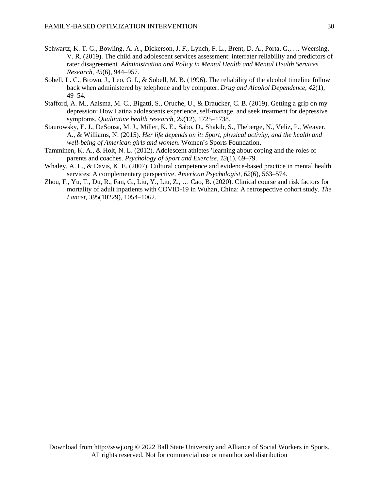- Schwartz, K. T. G., Bowling, A. A., Dickerson, J. F., Lynch, F. L., Brent, D. A., Porta, G., … Weersing, V. R. (2019). The child and adolescent services assessment: interrater reliability and predictors of rater disagreement. *Administration and Policy in Mental Health and Mental Health Services Research, 45*(6), 944–957.
- Sobell, L. C., Brown, J., Leo, G. I., & Sobell, M. B. (1996). The reliability of the alcohol timeline follow back when administered by telephone and by computer. *Drug and Alcohol Dependence, 42*(1), 49–54.
- Stafford, A. M., Aalsma, M. C., Bigatti, S., Oruche, U., & Draucker, C. B. (2019). Getting a grip on my depression: How Latina adolescents experience, self-manage, and seek treatment for depressive symptoms. *Qualitative health research*, *29*(12), 1725–1738.
- Staurowsky, E. J., DeSousa, M. J., Miller, K. E., Sabo, D., Shakib, S., Theberge, N., Veliz, P., Weaver, A., & Williams, N. (2015). *Her life depends on it: Sport, physical activity, and the health and well-being of American girls and women*. Women's Sports Foundation.
- Tamminen, K. A., & Holt, N. L. (2012). Adolescent athletes 'learning about coping and the roles of parents and coaches. *Psychology of Sport and Exercise*, *13*(1), 69–79.
- Whaley, A. L., & Davis, K. E. (2007). Cultural competence and evidence-based practice in mental health services: A complementary perspective. *American Psychologist*, *62*(6), 563–574.
- Zhou, F., Yu, T., Du, R., Fan, G., Liu, Y., Liu, Z., … Cao, B. (2020). Clinical course and risk factors for mortality of adult inpatients with COVID-19 in Wuhan, China: A retrospective cohort study*. The Lancet, 395*(10229), 1054–1062.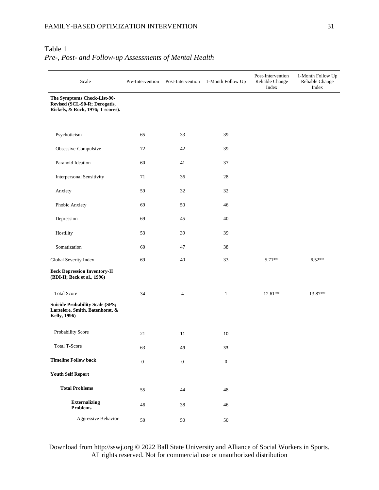# Table 1 *Pre-, Post- and Follow-up Assessments of Mental Health*

| Scale                                                                                             | Pre-Intervention | Post-Intervention | 1-Month Follow Up | Post-Intervention<br>Reliable Change<br>Index | 1-Month Follow Up<br>Reliable Change<br>Index |
|---------------------------------------------------------------------------------------------------|------------------|-------------------|-------------------|-----------------------------------------------|-----------------------------------------------|
| The Symptoms Check-List-90-<br>Revised (SCL-90-R; Derogatis,<br>Rickels, & Rock, 1976; T scores). |                  |                   |                   |                                               |                                               |
| Psychoticism                                                                                      | 65               | 33                | 39                |                                               |                                               |
| Obsessive-Compulsive                                                                              | 72               | 42                | 39                |                                               |                                               |
| Paranoid Ideation                                                                                 | 60               | 41                | 37                |                                               |                                               |
| <b>Interpersonal Sensitivity</b>                                                                  | 71               | 36                | 28                |                                               |                                               |
| Anxiety                                                                                           | 59               | 32                | 32                |                                               |                                               |
| Phobic Anxiety                                                                                    | 69               | 50                | 46                |                                               |                                               |
| Depression                                                                                        | 69               | 45                | 40                |                                               |                                               |
| Hostility                                                                                         | 53               | 39                | 39                |                                               |                                               |
| Somatization                                                                                      | 60               | 47                | 38                |                                               |                                               |
| Global Severity Index                                                                             | 69               | 40                | 33                | $5.71**$                                      | $6.52**$                                      |
| <b>Beck Depression Inventory-II</b><br>(BDI-II; Beck et al., 1996)                                |                  |                   |                   |                                               |                                               |
| <b>Total Score</b>                                                                                | 34               | 4                 | $\mathbf{1}$      | $12.61**$                                     | 13.87**                                       |
| <b>Suicide Probability Scale (SPS;</b><br>Larzelere, Smith, Batenhorst, &<br><b>Kelly, 1996)</b>  |                  |                   |                   |                                               |                                               |
| Probability Score                                                                                 | 21               | 11                | 10                |                                               |                                               |
| <b>Total T-Score</b>                                                                              | 63               | 49                | 33                |                                               |                                               |
| <b>Timeline Follow back</b>                                                                       | $\boldsymbol{0}$ | $\boldsymbol{0}$  | $\boldsymbol{0}$  |                                               |                                               |
| <b>Youth Self Report</b>                                                                          |                  |                   |                   |                                               |                                               |
| <b>Total Problems</b>                                                                             | 55               | 44                | $48\,$            |                                               |                                               |
| <b>Externalizing</b><br><b>Problems</b>                                                           | 46               | 38                | 46                |                                               |                                               |
| Aggressive Behavior                                                                               | $50\,$           | 50                | $50\,$            |                                               |                                               |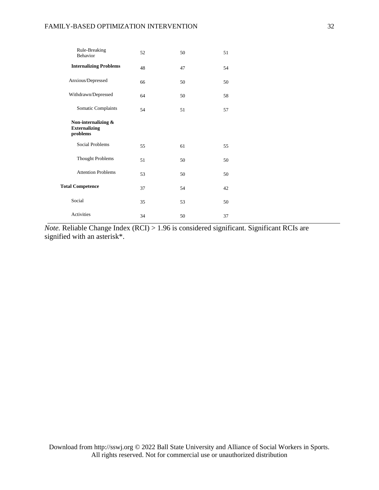| Rule-Breaking<br>Behavior                               | 52 | 50 | 51 |  |
|---------------------------------------------------------|----|----|----|--|
| <b>Internalizing Problems</b>                           | 48 | 47 | 54 |  |
| Anxious/Depressed                                       | 66 | 50 | 50 |  |
| Withdrawn/Depressed                                     | 64 | 50 | 58 |  |
| Somatic Complaints                                      | 54 | 51 | 57 |  |
| Non-internalizing &<br><b>Externalizing</b><br>problems |    |    |    |  |
| Social Problems                                         | 55 | 61 | 55 |  |
| <b>Thought Problems</b>                                 | 51 | 50 | 50 |  |
| <b>Attention Problems</b>                               | 53 | 50 | 50 |  |
| <b>Total Competence</b>                                 | 37 | 54 | 42 |  |
| Social                                                  | 35 | 53 | 50 |  |
| Activities                                              | 34 | 50 | 37 |  |

*Note.* Reliable Change Index (RCI) > 1.96 is considered significant. Significant RCIs are signified with an asterisk\*.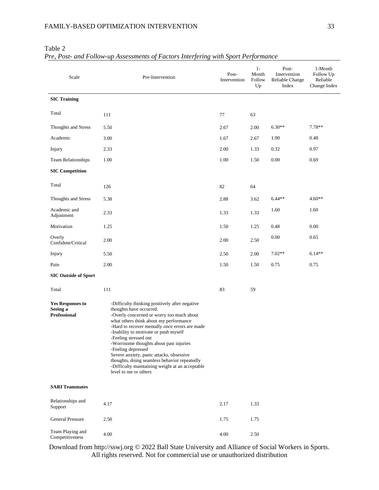| Scale                                               | Pre-Intervention                                                                                                                                                                                                                                                                                                                                                                                                                                                                                                              | Post-<br>Intervention | $1-$<br>Month<br>Follow<br>Up | Post-<br>Intervention<br>Reliable Change<br>Index | 1-Month<br>Follow Up<br>Reliable<br>Change Index |
|-----------------------------------------------------|-------------------------------------------------------------------------------------------------------------------------------------------------------------------------------------------------------------------------------------------------------------------------------------------------------------------------------------------------------------------------------------------------------------------------------------------------------------------------------------------------------------------------------|-----------------------|-------------------------------|---------------------------------------------------|--------------------------------------------------|
| <b>SIC Training</b>                                 |                                                                                                                                                                                                                                                                                                                                                                                                                                                                                                                               |                       |                               |                                                   |                                                  |
| Total                                               | 111                                                                                                                                                                                                                                                                                                                                                                                                                                                                                                                           | 77                    | 63                            |                                                   |                                                  |
| Thoughts and Stress                                 | 5.50                                                                                                                                                                                                                                                                                                                                                                                                                                                                                                                          | 2.67                  | 2.00                          | $6.30**$                                          | $7.78**$                                         |
| Academic                                            | 3.00                                                                                                                                                                                                                                                                                                                                                                                                                                                                                                                          | 1.67                  | 2.67                          | 1.90                                              | 0.48                                             |
| Injury                                              | 2.33                                                                                                                                                                                                                                                                                                                                                                                                                                                                                                                          | 2.00                  | 1.33                          | 0.32                                              | 0.97                                             |
| Team Relationships                                  | 1.00                                                                                                                                                                                                                                                                                                                                                                                                                                                                                                                          | 1.00                  | 1.50                          | 0.00                                              | 0.69                                             |
| <b>SIC Competition</b>                              |                                                                                                                                                                                                                                                                                                                                                                                                                                                                                                                               |                       |                               |                                                   |                                                  |
| Total                                               | 126                                                                                                                                                                                                                                                                                                                                                                                                                                                                                                                           | 82                    | 64                            |                                                   |                                                  |
| Thoughts and Stress                                 | 5.38                                                                                                                                                                                                                                                                                                                                                                                                                                                                                                                          | 2.88                  | 3.62                          | $6.44**$                                          | $4.60**$                                         |
| Academic and<br>Adjustment                          | 2.33                                                                                                                                                                                                                                                                                                                                                                                                                                                                                                                          | 1.33                  | 1.33                          | 1.60                                              | 1.60                                             |
| Motivation                                          | 1.25                                                                                                                                                                                                                                                                                                                                                                                                                                                                                                                          | 1.50                  | 1.25                          | 0.48                                              | 0.00                                             |
| Overly<br>Confident/Critical                        | 2.00                                                                                                                                                                                                                                                                                                                                                                                                                                                                                                                          | 2.00                  | 2.50                          | 0.00                                              | 0.65                                             |
| Injury                                              | 5.50                                                                                                                                                                                                                                                                                                                                                                                                                                                                                                                          | 2.50                  | 2.00                          | $7.02**$                                          | $6.14**$                                         |
| Pain                                                | 2.00                                                                                                                                                                                                                                                                                                                                                                                                                                                                                                                          | 1.50                  | 1.50                          | 0.75                                              | 0.75                                             |
| <b>SIC Outside of Sport</b>                         |                                                                                                                                                                                                                                                                                                                                                                                                                                                                                                                               |                       |                               |                                                   |                                                  |
| Total                                               | 111                                                                                                                                                                                                                                                                                                                                                                                                                                                                                                                           | 83                    | 59                            |                                                   |                                                  |
| <b>Yes Responses to</b><br>Seeing a<br>Professional | -Difficulty thinking positively after negative<br>thoughts have occurred.<br>-Overly concerned or worry too much about<br>what others think about my performance<br>-Hard to recover mentally once errors are made<br>-Inability to motivate or push myself<br>-Feeling stressed out<br>-Worrisome thoughts about past injuries<br>-Feeling depressed<br>Severe anxiety, panic attacks, obsessive<br>thoughts, doing seamless behavior repeatedly<br>-Difficulty maintaining weight at an acceptable<br>level to me or others |                       |                               |                                                   |                                                  |
| <b>SARI Teammates</b>                               |                                                                                                                                                                                                                                                                                                                                                                                                                                                                                                                               |                       |                               |                                                   |                                                  |
| Relationships and<br>Support                        | 4.17                                                                                                                                                                                                                                                                                                                                                                                                                                                                                                                          | 2.17                  | 1.33                          |                                                   |                                                  |
| <b>General Pressure</b>                             | 2.50                                                                                                                                                                                                                                                                                                                                                                                                                                                                                                                          | 1.75                  | 1.75                          |                                                   |                                                  |
| Team Playing and<br>Competitiveness                 | 4.00                                                                                                                                                                                                                                                                                                                                                                                                                                                                                                                          | 4.00                  | 2.50                          |                                                   |                                                  |

Table 2

*Pre, Post- and Follow-up Assessments of Factors Interfering with Sport Performance*